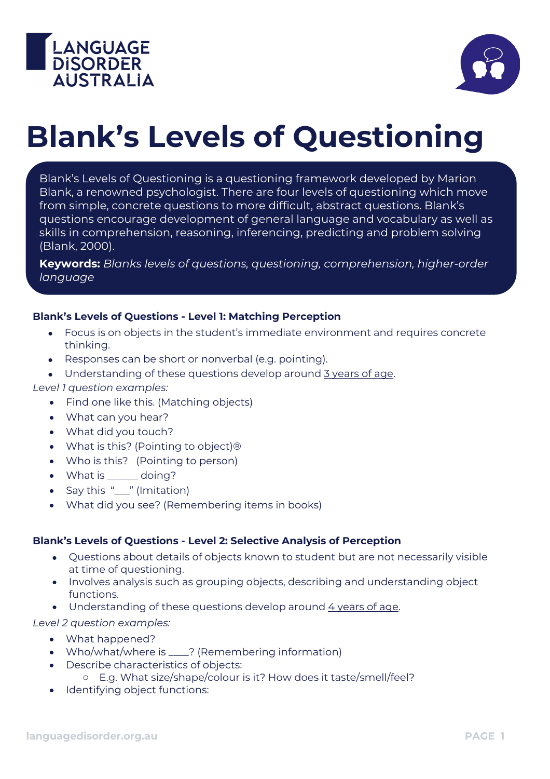



# **Blank's Levels of Questioning**

Blank's Levels of Questioning is a questioning framework developed by Marion Blank, a renowned psychologist. There are four levels of questioning which move from simple, concrete questions to more difficult, abstract questions. Blank's questions encourage development of general language and vocabulary as well as skills in comprehension, reasoning, inferencing, predicting and problem solving (Blank, 2000).

**Keywords:** *Blanks levels of questions, questioning, comprehension, higher-order language*

## **Blank's Levels of Questions - Level 1: Matching Perception**

- Focus is on objects in the student's immediate environment and requires concrete thinking.
- Responses can be short or nonverbal (e.g. pointing).
- Understanding of these questions develop around 3 years of age.

#### *Level 1 question examples:*

- Find one like this. (Matching objects)
- What can you hear?
- What did you touch?
- What is this? (Pointing to object)®
- Who is this? (Pointing to person)
- What is \_\_\_\_\_\_ doing?
- Say this "\_\_\_" (Imitation)
- What did you see? (Remembering items in books)

#### **Blank's Levels of Questions - Level 2: Selective Analysis of Perception**

- Questions about details of objects known to student but are not necessarily visible at time of questioning.
- Involves analysis such as grouping objects, describing and understanding object functions.
- Understanding of these questions develop around 4 years of age.

*Level 2 question examples:*

- What happened?
- Who/what/where is \_\_\_\_? (Remembering information)
- Describe characteristics of objects:
	- o E.g. What size/shape/colour is it? How does it taste/smell/feel?
- Identifying object functions: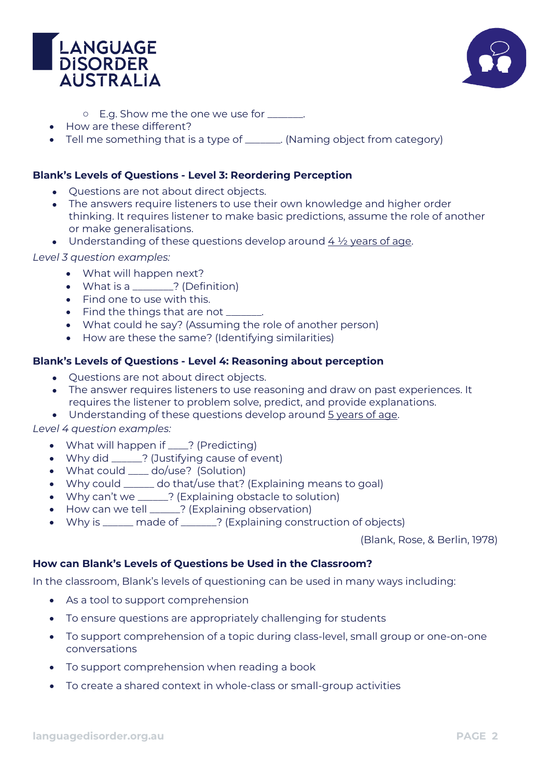



- o E.g. Show me the one we use for \_\_\_\_\_\_\_.
- How are these different?
- Tell me something that is a type of \_\_\_\_\_\_. (Naming object from category)

#### **Blank's Levels of Questions - Level 3: Reordering Perception**

- Questions are not about direct objects.
- The answers require listeners to use their own knowledge and higher order thinking. It requires listener to make basic predictions, assume the role of another or make generalisations.
- Understanding of these questions develop around  $4\frac{1}{2}$  years of age.

*Level 3 question examples:*

- What will happen next?
- What is a \_\_\_\_\_\_\_? (Definition)
- Find one to use with this.
- Find the things that are not \_\_\_\_
- What could he say? (Assuming the role of another person)
- How are these the same? (Identifying similarities)

## **Blank's Levels of Questions - Level 4: Reasoning about perception**

- Questions are not about direct objects.
- The answer requires listeners to use reasoning and draw on past experiences. It requires the listener to problem solve, predict, and provide explanations.
- Understanding of these questions develop around 5 years of age.

*Level 4 question examples:*

- What will happen if \_\_\_\_? (Predicting)
- Why did \_\_\_\_\_\_? (Justifying cause of event)
- What could <u>eaged</u> do/use? (Solution)
- Why could \_\_\_\_\_\_ do that/use that? (Explaining means to goal)
- Why can't we \_\_\_\_\_? (Explaining obstacle to solution)
- How can we tell \_\_\_\_\_? (Explaining observation)
- Why is \_\_\_\_\_ made of \_\_\_\_\_? (Explaining construction of objects)

(Blank, Rose, & Berlin, 1978)

#### **How can Blank's Levels of Questions be Used in the Classroom?**

In the classroom, Blank's levels of questioning can be used in many ways including:

- As a tool to support comprehension
- To ensure questions are appropriately challenging for students
- To support comprehension of a topic during class-level, small group or one-on-one conversations
- To support comprehension when reading a book
- To create a shared context in whole-class or small-group activities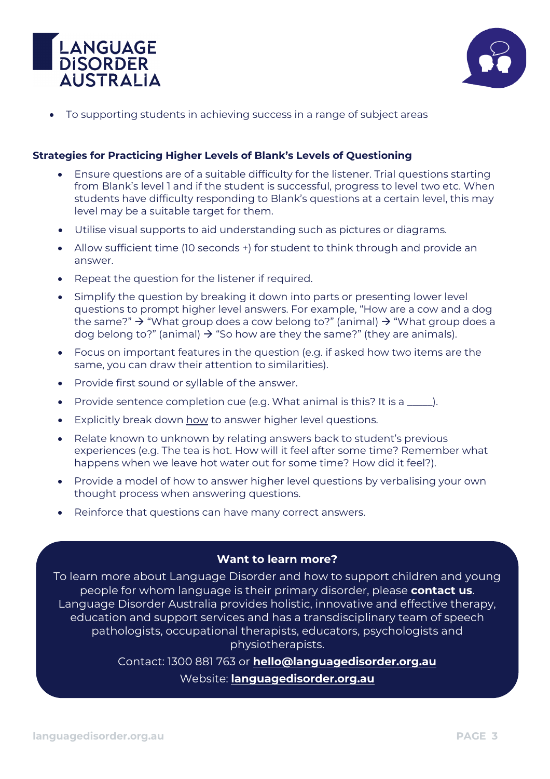



• To supporting students in achieving success in a range of subject areas

## **Strategies for Practicing Higher Levels of Blank's Levels of Questioning**

- Ensure questions are of a suitable difficulty for the listener. Trial questions starting from Blank's level 1 and if the student is successful, progress to level two etc. When students have difficulty responding to Blank's questions at a certain level, this may level may be a suitable target for them.
- Utilise visual supports to aid understanding such as pictures or diagrams.
- Allow sufficient time (10 seconds +) for student to think through and provide an answer.
- Repeat the question for the listener if required.
- Simplify the question by breaking it down into parts or presenting lower level questions to prompt higher level answers. For example, "How are a cow and a dog the same?"  $\rightarrow$  "What group does a cow belong to?" (animal)  $\rightarrow$  "What group does a dog belong to?" (animal)  $\rightarrow$  "So how are they the same?" (they are animals).
- Focus on important features in the question (e.g. if asked how two items are the same, you can draw their attention to similarities).
- Provide first sound or syllable of the answer.
- Provide sentence completion cue (e.g. What animal is this? It is a \_\_\_\_\_).
- Explicitly break down how to answer higher level questions.
- Relate known to unknown by relating answers back to student's previous experiences (e.g. The tea is hot. How will it feel after some time? Remember what happens when we leave hot water out for some time? How did it feel?).
- Provide a model of how to answer higher level questions by verbalising your own thought process when answering questions.
- Reinforce that questions can have many correct answers.

## **Want to learn more?**

To learn more about Language Disorder and how to support children and young people for whom language is their primary disorder, please **contact us**. Language Disorder Australia provides holistic, innovative and effective therapy, education and support services and has a transdisciplinary team of speech pathologists, occupational therapists, educators, psychologists and physiotherapists.

Contact: 1300 881 763 or **[hello@languagedisorder.org.au](mailto:hello@languagedisorder.org.au)**

Website: **[languagedisorder.org.au](http://www.languagedisorder.org.au/)**